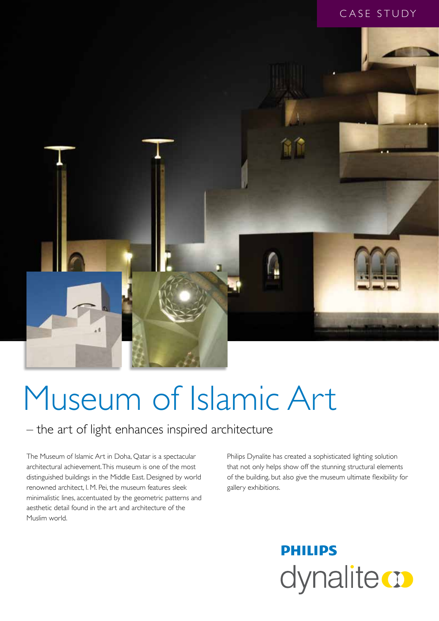

# Museum of Islamic Art

### – the art of light enhances inspired architecture

The Museum of Islamic Art in Doha, Qatar is a spectacular architectural achievement. This museum is one of the most distinguished buildings in the Middle East. Designed by world renowned architect, I. M. Pei, the museum features sleek minimalistic lines, accentuated by the geometric patterns and aesthetic detail found in the art and architecture of the Muslim world.

Philips Dynalite has created a sophisticated lighting solution that not only helps show off the stunning structural elements of the building, but also give the museum ultimate flexibility for gallery exhibitions.

## **PHILIPS** dynalite **o**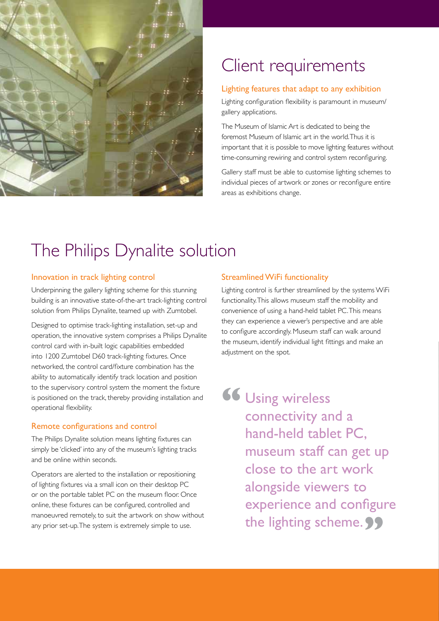

### Client requirements

#### Lighting features that adapt to any exhibition

Lighting configuration flexibility is paramount in museum/ gallery applications.

The Museum of Islamic Art is dedicated to being the foremost Museum of Islamic art in the world. Thus it is important that it is possible to move lighting features without time-consuming rewiring and control system reconfiguring.

Gallery staff must be able to customise lighting schemes to individual pieces of artwork or zones or reconfigure entire areas as exhibitions change.

### The Philips Dynalite solution

#### Innovation in track lighting control

Underpinning the gallery lighting scheme for this stunning building is an innovative state-of-the-art track-lighting control solution from Philips Dynalite, teamed up with Zumtobel.

Designed to optimise track-lighting installation, set-up and operation, the innovative system comprises a Philips Dynalite control card with in-built logic capabilities embedded into 1200 Zumtobel D60 track-lighting fixtures. Once networked, the control card/fixture combination has the ability to automatically identify track location and position to the supervisory control system the moment the fixture is positioned on the track, thereby providing installation and operational flexibility.

#### Remote configurations and control

The Philips Dynalite solution means lighting fixtures can simply be 'clicked' into any of the museum's lighting tracks and be online within seconds.

Operators are alerted to the installation or repositioning of lighting fixtures via a small icon on their desktop PC or on the portable tablet PC on the museum floor. Once online, these fixtures can be configured, controlled and manoeuvred remotely, to suit the artwork on show without any prior set-up. The system is extremely simple to use.

#### Streamlined WiFi functionality

Lighting control is further streamlined by the systems WiFi functionality. This allows museum staff the mobility and convenience of using a hand-held tablet PC. This means they can experience a viewer's perspective and are able to configure accordingly. Museum staff can walk around the museum, identify individual light fittings and make an adjustment on the spot.

Using wireless connectivity and a hand-held tablet PC, museum staff can get up close to the art work alongside viewers to experience and configure the lighting scheme. **99 "**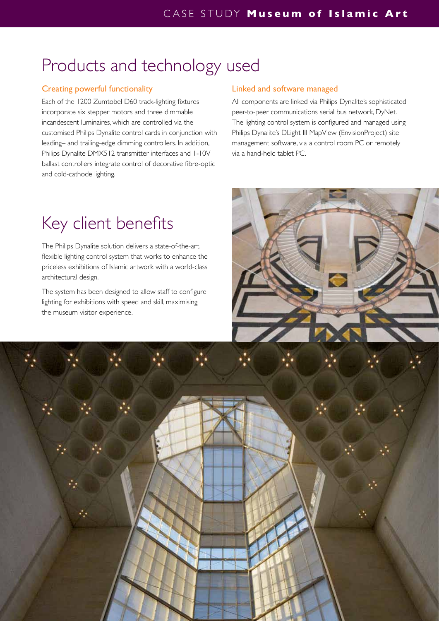### Products and technology used

#### Creating powerful functionality

Each of the 1200 Zumtobel D60 track-lighting fixtures incorporate six stepper motors and three dimmable incandescent luminaires, which are controlled via the customised Philips Dynalite control cards in conjunction with leading– and trailing-edge dimming controllers. In addition, Philips Dynalite DMX512 transmitter interfaces and 1-10V ballast controllers integrate control of decorative fibre-optic and cold-cathode lighting.

### Key client benefits

The Philips Dynalite solution delivers a state-of-the-art, flexible lighting control system that works to enhance the priceless exhibitions of Islamic artwork with a world-class architectural design.

The system has been designed to allow staff to configure lighting for exhibitions with speed and skill, maximising the museum visitor experience.

#### Linked and software managed

All components are linked via Philips Dynalite's sophisticated peer-to-peer communications serial bus network, DyNet. The lighting control system is configured and managed using Philips Dynalite's DLight III MapView (EnvisionProject) site management software, via a control room PC or remotely via a hand-held tablet PC.